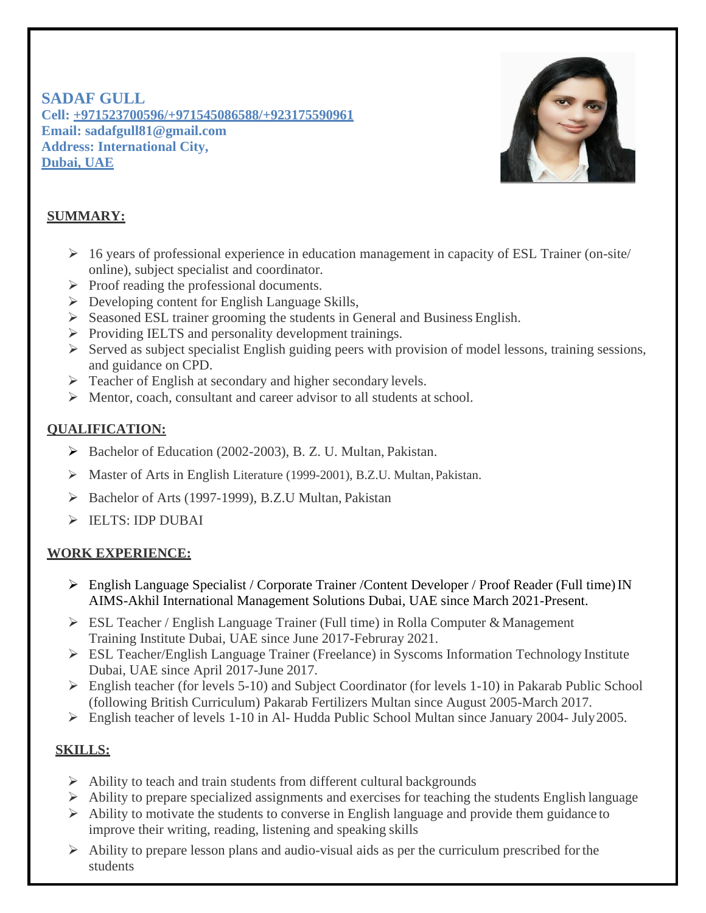**SADAF GULL Cell: +971523700596/+971545086588/+923175590961 Email: [sadafgull81@gmail.com](mailto:sadafgull81@gmail.com) Address: International City, Dubai, UAE**



# **SUMMARY:**

- ➢ 16 years of professional experience in education management in capacity of ESL Trainer (on-site/ online), subject specialist and coordinator.
- ➢ Proof reading the professional documents.
- ➢ Developing content for English Language Skills,
- ➢ Seasoned ESL trainer grooming the students in General and Business English.
- ➢ Providing IELTS and personality development trainings.
- ➢ Served as subject specialist English guiding peers with provision of model lessons, training sessions, and guidance on CPD.
- ➢ Teacher of English at secondary and higher secondary levels.
- ➢ Mentor, coach, consultant and career advisor to all students at school.

## **QUALIFICATION:**

- ➢ Bachelor of Education (2002-2003), B. Z. U. Multan, Pakistan.
- ➢ Master of Arts in English Literature (1999-2001), B.Z.U. Multan,Pakistan.
- ➢ Bachelor of Arts (1997-1999), B.Z.U Multan, Pakistan
- ➢ IELTS: IDP DUBAI

## **WORK EXPERIENCE:**

- $\triangleright$  English Language Specialist / Corporate Trainer / Content Developer / Proof Reader (Full time) IN AIMS-Akhil International Management Solutions Dubai, UAE since March 2021-Present.
- $\triangleright$  ESL Teacher / English Language Trainer (Full time) in Rolla Computer & Management Training Institute Dubai, UAE since June 2017-Februray 2021.
- ➢ ESL Teacher/English Language Trainer (Freelance) in Syscoms Information Technology Institute Dubai, UAE since April 2017-June 2017.
- ➢ English teacher (for levels 5-10) and Subject Coordinator (for levels 1-10) in Pakarab Public School (following British Curriculum) Pakarab Fertilizers Multan since August 2005-March 2017.
- ➢ English teacher of levels 1-10 in Al- Hudda Public School Multan since January 2004- July2005.

## **SKILLS:**

- ➢ Ability to teach and train students from different cultural backgrounds
- ➢ Ability to prepare specialized assignments and exercises for teaching the students English language
- $\triangleright$  Ability to motivate the students to converse in English language and provide them guidance to improve their writing, reading, listening and speaking skills
- $\triangleright$  Ability to prepare lesson plans and audio-visual aids as per the curriculum prescribed for the students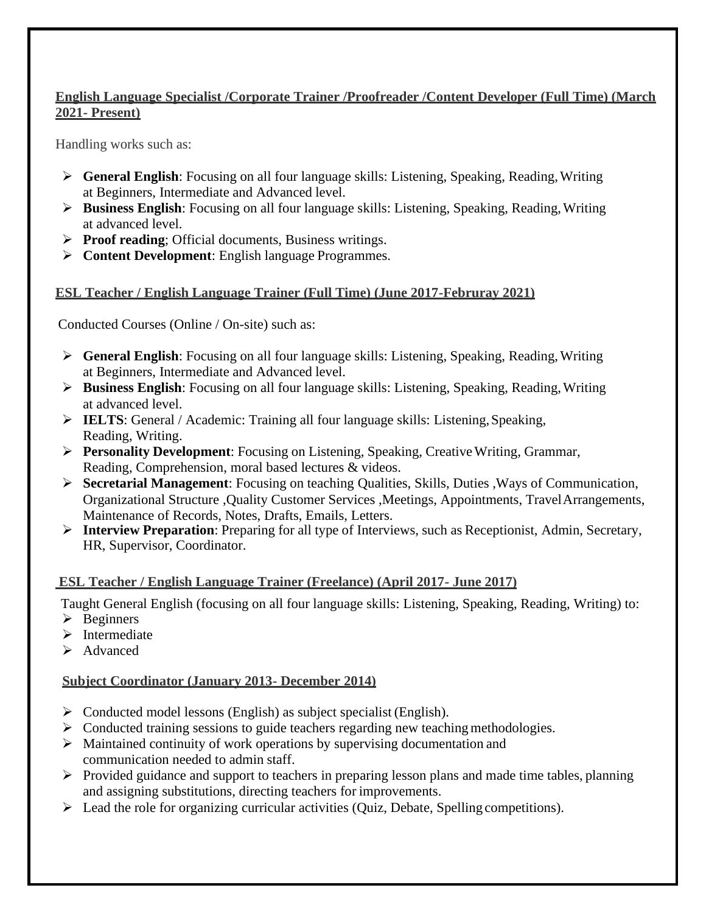## **English Language Specialist /Corporate Trainer /Proofreader /Content Developer (Full Time) (March 2021- Present)**

Handling works such as:

- ➢ **General English**: Focusing on all four language skills: Listening, Speaking, Reading,Writing at Beginners, Intermediate and Advanced level.
- ➢ **Business English**: Focusing on all four language skills: Listening, Speaking, Reading,Writing at advanced level.
- ➢ **Proof reading**; Official documents, Business writings.
- ➢ **Content Development**: English language Programmes.

## **ESL Teacher / English Language Trainer (Full Time) (June 2017-Februray 2021)**

Conducted Courses (Online / On-site) such as:

- ➢ **General English**: Focusing on all four language skills: Listening, Speaking, Reading,Writing at Beginners, Intermediate and Advanced level.
- ➢ **Business English**: Focusing on all four language skills: Listening, Speaking, Reading,Writing at advanced level.
- ➢ **IELTS**: General / Academic: Training all four language skills: Listening,Speaking, Reading, Writing.
- ➢ **Personality Development**: Focusing on Listening, Speaking, CreativeWriting, Grammar, Reading, Comprehension, moral based lectures & videos.
- ➢ **Secretarial Management**: Focusing on teaching Qualities, Skills, Duties ,Ways of Communication, Organizational Structure ,Quality Customer Services ,Meetings, Appointments, TravelArrangements, Maintenance of Records, Notes, Drafts, Emails, Letters.
- ➢ **Interview Preparation**: Preparing for all type of Interviews, such as Receptionist, Admin, Secretary, HR, Supervisor, Coordinator.

# **ESL Teacher / English Language Trainer (Freelance) (April 2017- June 2017)**

Taught General English (focusing on all four language skills: Listening, Speaking, Reading, Writing) to:

- $\triangleright$  Beginners
- ➢ Intermediate
- ➢ Advanced

# **Subject Coordinator (January 2013- December 2014)**

- ➢ Conducted model lessons (English) as subject specialist (English).
- $\triangleright$  Conducted training sessions to guide teachers regarding new teaching methodologies.
- ➢ Maintained continuity of work operations by supervising documentation and communication needed to admin staff.
- ➢ Provided guidance and support to teachers in preparing lesson plans and made time tables, planning and assigning substitutions, directing teachers for improvements.
- ➢ Lead the role for organizing curricular activities (Quiz, Debate, Spelling competitions).